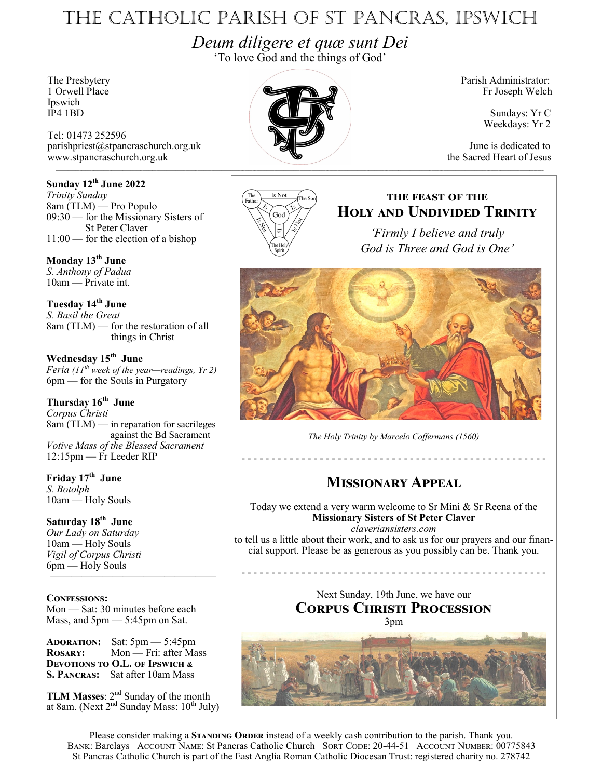# The Catholic Parish of St Pancras, Ipswich

*Deum diligere et quæ sunt Dei* 'To love God and the things of God'

Ipswich<br>IP4 1BD

Tel: 01473 252596 parishpriest@stpancraschurch.org.uk June is dedicated to the Sacred Heart of Jesus www.stpancraschurch.org.uk

### **Sunday 12th June 2022**

*Trinity Sunday* 8am (TLM) — Pro Populo 09:30 — for the Missionary Sisters of St Peter Claver 11:00 — for the election of a bishop

**Monday 13th June** *S. Anthony of Padua* 10am — Private int.

**Tuesday 14th June** *S. Basil the Great* 8am (TLM) — for the restoration of all things in Christ

**Wednesday 15th June** *Feria (11th week of the year—readings, Yr 2)* 6pm — for the Souls in Purgatory

### **Thursday 16th June**

*Corpus Christi* 8am (TLM) — in reparation for sacrileges against the Bd Sacrament *Votive Mass of the Blessed Sacrament* 12:15pm — Fr Leeder RIP

**Friday 17th June** *S. Botolph* 10am — Holy Souls

**Saturday 18th June** *Our Lady on Saturday* 10am — Holy Souls *Vigil of Corpus Christi* 6pm — Holy Souls

**Confessions:** Mon — Sat: 30 minutes before each Mass, and 5pm — 5:45pm on Sat.

————————————————

**Adoration:** Sat: 5pm — 5:45pm **Rosary:** Mon — Fri: after Mass **Devotions to O.L. of Ipswich & S. Pancras:** Sat after 10am Mass

**TLM Masses:**  $2^{nd}$  Sunday of the month at 8am. (Next  $2<sup>nd</sup>$  Sunday Mass:  $10<sup>th</sup>$  July)



Fr Joseph Welch

Sundays: Yr C Weekdays: Yr 2



## **the feast of the Holy and Undivided Trinity**

*'Firmly I believe and truly God is Three and God is One'*



*The Holy Trinity by Marcelo Coffermans (1560)*

- - - - - - - - - - - - - - - - - - - - - - - - - - - - - - - - - - - - - - - - - - - - - - - - - - -

# **Missionary Appeal**

Today we extend a very warm welcome to Sr Mini & Sr Reena of the **Missionary Sisters of St Peter Claver** *claveriansisters.com* 

to tell us a little about their work, and to ask us for our prayers and our financial support. Please be as generous as you possibly can be. Thank you.

> Next Sunday, 19th June, we have our **Corpus Christi Procession** 3pm



Please consider making a **STANDING ORDER** instead of a weekly cash contribution to the parish. Thank you. BANK: Barclays ACCOUNT NAME: St Pancras Catholic Church SORT CODE: 20-44-51 ACCOUNT NUMBER: 00775843 St Pancras Catholic Church is part of the East Anglia Roman Catholic Diocesan Trust: registered charity no. 278742